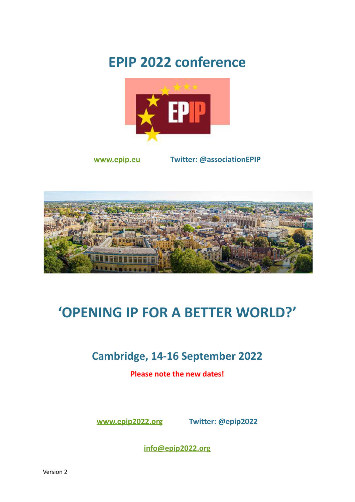# **EPIP 2022 conference**



**[www.epip.eu](https://www.epip.eu) Twitter: @associationEPIP**



# **'OPENING IP FOR A BETTER WORLD?'**

## **Cambridge, 14-16 September 2022**

**Please note the new dates!**

**[www.epip2022.org](http://www.epip2022.org) Twitter: @epip2022**

**[info@epip2022.org](mailto:info@epip2022.org)**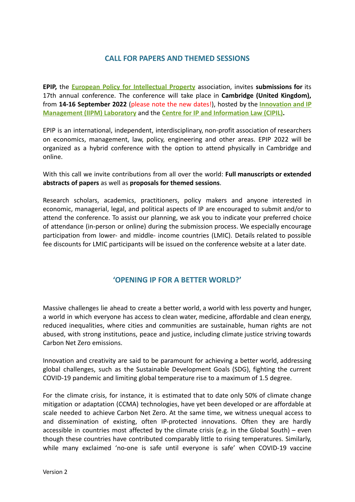### **CALL FOR PAPERS AND THEMED SESSIONS**

**EPIP,** the **European Policy for [Intellectual](https://www.epip.eu) Property** association, invites **submissions for** its 17th annual conference. The conference will take place in **Cambridge (United Kingdom),** from **14-16 September 2022** (please note the new dates!), hosted by the **[Innovation](http://www.iipm.eng.cam.ac.uk/) and IP [Management \(IIPM\) Laboratory](http://www.iipm.eng.cam.ac.uk/)** and the **Centre for IP [and Information Law \(CIPIL\).](https://www.cipil.law.cam.ac.uk)**

EPIP is an international, independent, interdisciplinary, non-profit association of researchers on economics, management, law, policy, engineering and other areas. EPIP 2022 will be organized as a hybrid conference with the option to attend physically in Cambridge and online.

With this call we invite contributions from all over the world: **Full manuscripts or extended abstracts of papers** as well as **proposals for themed sessions**.

Research scholars, academics, practitioners, policy makers and anyone interested in economic, managerial, legal, and political aspects of IP are encouraged to submit and/or to attend the conference. To assist our planning, we ask you to indicate your preferred choice of attendance (in-person or online) during the submission process. We especially encourage participation from lower- and middle- income countries (LMIC). Details related to possible fee discounts for LMIC participants will be issued on the conference website at a later date.

#### **'OPENING IP FOR A BETTER WORLD?'**

Massive challenges lie ahead to create a better world, a world with less poverty and hunger, a world in which everyone has access to clean water, medicine, affordable and clean energy, reduced inequalities, where cities and communities are sustainable, human rights are not abused, with strong institutions, peace and justice, including climate justice striving towards Carbon Net Zero emissions.

Innovation and creativity are said to be paramount for achieving a better world, addressing global challenges, such as the Sustainable Development Goals (SDG), fighting the current COVID-19 pandemic and limiting global temperature rise to a maximum of 1.5 degree.

For the climate crisis, for instance, it is estimated that to date only 50% of climate change mitigation or adaptation (CCMA) technologies, have yet been developed or are affordable at scale needed to achieve Carbon Net Zero. At the same time, we witness unequal access to and dissemination of existing, often IP-protected innovations. Often they are hardly accessible in countries most affected by the climate crisis (e.g. in the Global South) – even though these countries have contributed comparably little to rising temperatures. Similarly, while many exclaimed 'no-one is safe until everyone is safe' when COVID-19 vaccine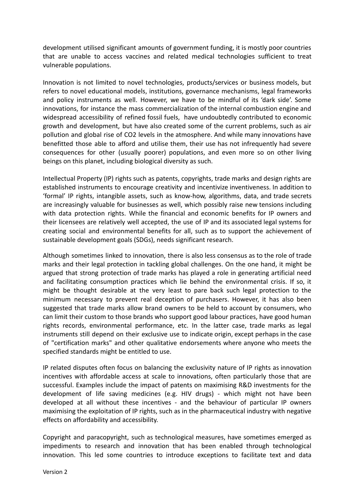development utilised significant amounts of government funding, it is mostly poor countries that are unable to access vaccines and related medical technologies sufficient to treat vulnerable populations.

Innovation is not limited to novel technologies, products/services or business models, but refers to novel educational models, institutions, governance mechanisms, legal frameworks and policy instruments as well. However, we have to be mindful of its 'dark side'. Some innovations, for instance the mass commercialization of the internal combustion engine and widespread accessibility of refined fossil fuels, have undoubtedly contributed to economic growth and development, but have also created some of the current problems, such as air pollution and global rise of CO2 levels in the atmosphere. And while many innovations have benefitted those able to afford and utilise them, their use has not infrequently had severe consequences for other (usually poorer) populations, and even more so on other living beings on this planet, including biological diversity as such.

Intellectual Property (IP) rights such as patents, copyrights, trade marks and design rights are established instruments to encourage creativity and incentivize inventiveness. In addition to 'formal' IP rights, intangible assets, such as know-how, algorithms, data, and trade secrets are increasingly valuable for businesses as well, which possibly raise new tensions including with data protection rights. While the financial and economic benefits for IP owners and their licensees are relatively well accepted, the use of IP and its associated legal systems for creating social and environmental benefits for all, such as to support the achievement of sustainable development goals (SDGs), needs significant research.

Although sometimes linked to innovation, there is also less consensus as to the role of trade marks and their legal protection in tackling global challenges. On the one hand, it might be argued that strong protection of trade marks has played a role in generating artificial need and facilitating consumption practices which lie behind the environmental crisis. If so, it might be thought desirable at the very least to pare back such legal protection to the minimum necessary to prevent real deception of purchasers. However, it has also been suggested that trade marks allow brand owners to be held to account by consumers, who can limit their custom to those brands who support good labour practices, have good human rights records, environmental performance, etc. In the latter case, trade marks as legal instruments still depend on their exclusive use to indicate origin, except perhaps in the case of "certification marks" and other qualitative endorsements where anyone who meets the specified standards might be entitled to use.

IP related disputes often focus on balancing the exclusivity nature of IP rights as innovation incentives with affordable access at scale to innovations, often particularly those that are successful. Examples include the impact of patents on maximising R&D investments for the development of life saving medicines (e.g. HIV drugs) - which might not have been developed at all without these incentives - and the behaviour of particular IP owners maximising the exploitation of IP rights, such as in the pharmaceutical industry with negative effects on affordability and accessibility.

Copyright and paracopyright, such as technological measures, have sometimes emerged as impediments to research and innovation that has been enabled through technological innovation. This led some countries to introduce exceptions to facilitate text and data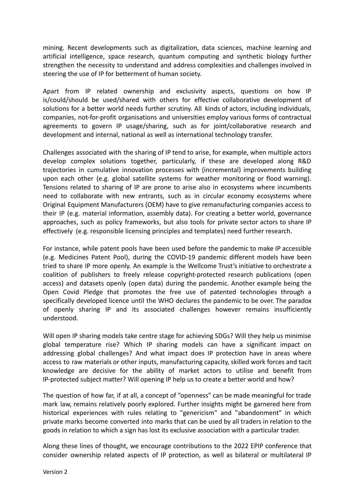mining. Recent developments such as digitalization, data sciences, machine learning and artificial intelligence, space research, quantum computing and synthetic biology further strengthen the necessity to understand and address complexities and challenges involved in steering the use of IP for betterment of human society.

Apart from IP related ownership and exclusivity aspects, questions on how IP is/could/should be used/shared with others for effective collaborative development of solutions for a better world needs further scrutiny. All kinds of actors, including individuals, companies, not-for-profit organisations and universities employ various forms of contractual agreements to govern IP usage/sharing, such as for joint/collaborative research and development and internal, national as well as international technology transfer.

Challenges associated with the sharing of IP tend to arise, for example, when multiple actors develop complex solutions together, particularly, if these are developed along R&D trajectories in cumulative innovation processes with (incremental) improvements building upon each other (e.g. global satellite systems for weather monitoring or flood warning). Tensions related to sharing of IP are prone to arise also in ecosystems where incumbents need to collaborate with new entrants, such as in circular economy ecosystems where Original Equipment Manufacturers (OEM) have to give remanufacturing companies access to their IP (e.g. material information, assembly data). For creating a better world, governance approaches, such as policy frameworks, but also tools for private sector actors to share IP effectively (e.g. responsible licensing principles and templates) need further research.

For instance, while patent pools have been used before the pandemic to make IP accessible (e.g. Medicines Patent Pool), during the COVID-19 pandemic different models have been tried to share IP more openly. An example is the Wellcome Trust's initiative to orchestrate a coalition of publishers to freely release copyright-protected research publications (open access) and datasets openly (open data) during the pandemic. Another example being the Open Covid Pledge that promotes the free use of patented technologies through a specifically developed licence until the WHO declares the pandemic to be over. The paradox of openly sharing IP and its associated challenges however remains insufficiently understood.

Will open IP sharing models take centre stage for achieving SDGs? Will they help us minimise global temperature rise? Which IP sharing models can have a significant impact on addressing global challenges? And what impact does IP protection have in areas where access to raw materials or other inputs, manufacturing capacity, skilled work forces and tacit knowledge are decisive for the ability of market actors to utilise and benefit from IP-protected subject matter? Will opening IP help us to create a better world and how?

The question of how far, if at all, a concept of "openness" can be made meaningful for trade mark law, remains relatively poorly explored. Further insights might be garnered here from historical experiences with rules relating to "genericism" and "abandonment" in which private marks become converted into marks that can be used by all traders in relation to the goods in relation to which a sign has lost its exclusive association with a particular trader.

Along these lines of thought, we encourage contributions to the 2022 EPIP conference that consider ownership related aspects of IP protection, as well as bilateral or multilateral IP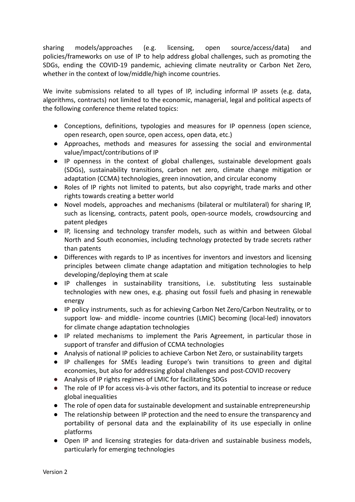sharing models/approaches (e.g. licensing, open source/access/data) and policies/frameworks on use of IP to help address global challenges, such as promoting the SDGs, ending the COVID-19 pandemic, achieving climate neutrality or Carbon Net Zero, whether in the context of low/middle/high income countries.

We invite submissions related to all types of IP, including informal IP assets (e.g. data, algorithms, contracts) not limited to the economic, managerial, legal and political aspects of the following conference theme related topics:

- Conceptions, definitions, typologies and measures for IP openness (open science, open research, open source, open access, open data, etc.)
- Approaches, methods and measures for assessing the social and environmental value/impact/contributions of IP
- IP openness in the context of global challenges, sustainable development goals (SDGs), sustainability transitions, carbon net zero, climate change mitigation or adaptation (CCMA) technologies, green innovation, and circular economy
- Roles of IP rights not limited to patents, but also copyright, trade marks and other rights towards creating a better world
- Novel models, approaches and mechanisms (bilateral or multilateral) for sharing IP, such as licensing, contracts, patent pools, open-source models, crowdsourcing and patent pledges
- IP, licensing and technology transfer models, such as within and between Global North and South economies, including technology protected by trade secrets rather than patents
- Differences with regards to IP as incentives for inventors and investors and licensing principles between climate change adaptation and mitigation technologies to help developing/deploying them at scale
- IP challenges in sustainability transitions, i.e. substituting less sustainable technologies with new ones, e.g. phasing out fossil fuels and phasing in renewable energy
- IP policy instruments, such as for achieving Carbon Net Zero/Carbon Neutrality, or to support low- and middle- income countries (LMIC) becoming (local-led) innovators for climate change adaptation technologies
- IP related mechanisms to implement the Paris Agreement, in particular those in support of transfer and diffusion of CCMA technologies
- Analysis of national IP policies to achieve Carbon Net Zero, or sustainability targets
- IP challenges for SMEs leading Europe's twin transitions to green and digital economies, but also for addressing global challenges and post-COVID recovery
- Analysis of IP rights regimes of LMIC for facilitating SDGs
- The role of IP for access vis-à-vis other factors, and its potential to increase or reduce global inequalities
- The role of open data for sustainable development and sustainable entrepreneurship
- The relationship between IP protection and the need to ensure the transparency and portability of personal data and the explainability of its use especially in online platforms
- Open IP and licensing strategies for data-driven and sustainable business models, particularly for emerging technologies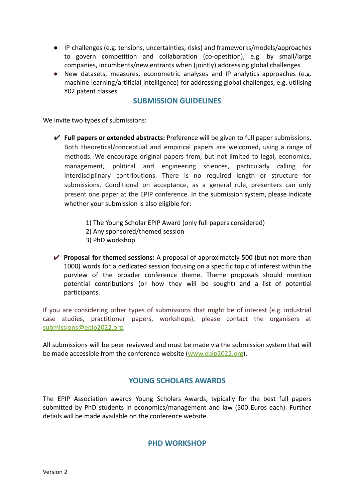- IP challenges (e.g. tensions, uncertainties, risks) and frameworks/models/approaches to govern competition and collaboration (co-opetition), e.g. by small/large companies, incumbents/new entrants when (jointly) addressing global challenges
- New datasets, measures, econometric analyses and IP analytics approaches (e.g. machine learning/artificial intelligence) for addressing global challenges, e.g. utilising Y02 patent classes

#### **SUBMISSION GUIDELINES**

We invite two types of submissions:

- ✔ **Full papers or extended abstracts:** Preference will be given to full paper submissions. Both theoretical/conceptual and empirical papers are welcomed, using a range of methods. We encourage original papers from, but not limited to legal, economics, management, political and engineering sciences, particularly calling for interdisciplinary contributions. There is no required length or structure for submissions. Conditional on acceptance, as a general rule, presenters can only present one paper at the EPIP conference. In the submission system, please indicate whether your submission is also eligible for:
	- 1) The Young Scholar EPIP Award (only full papers considered)
	- 2) Any sponsored/themed session
	- 3) PhD workshop
- ✔ **Proposal for themed sessions:** A proposal of approximately 500 (but not more than 1000) words for a dedicated session focusing on a specific topic of interest within the purview of the broader conference theme. Theme proposals should mention potential contributions (or how they will be sought) and a list of potential participants.

If you are considering other types of submissions that might be of interest (e.g. industrial case studies, practitioner papers, workshops), please contact the organisers at [submissions@epip2022.org.](mailto:submissions@epip2022.org)

All submissions will be peer reviewed and must be made via the submission system that will be made accessible from the conference website ([www.epip2022.org](http://www.epip2022.org)).

#### **YOUNG SCHOLARS AWARDS**

The EPIP Association awards Young Scholars Awards, typically for the best full papers submitted by PhD students in economics/management and law (500 Euros each). Further details will be made available on the conference website.

#### **PHD WORKSHOP**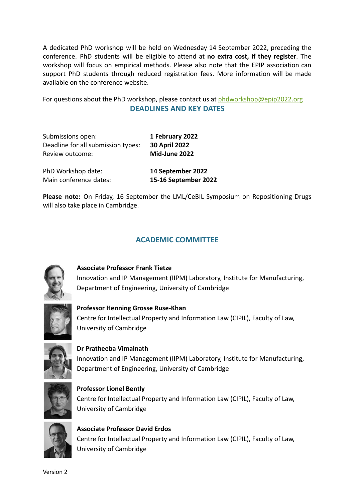A dedicated PhD workshop will be held on Wednesday 14 September 2022, preceding the conference. PhD students will be eligible to attend at **no extra cost, if they register**. The workshop will focus on empirical methods. Please also note that the EPIP association can support PhD students through reduced registration fees. More information will be made available on the conference website.

For questions about the PhD workshop, please contact us at [phdworkshop@epip2022.org](mailto:phdworkshop@epip2022.org) **DEADLINES AND KEY DATES**

| Submissions open:                  | 1 February 2022      |
|------------------------------------|----------------------|
| Deadline for all submission types: | <b>30 April 2022</b> |
| Review outcome:                    | Mid-June 2022        |
| PhD Workshop date:                 | 14 September 2022    |
| Main conference dates:             | 15-16 September 2022 |

**Please note:** On Friday, 16 September the LML/CeBIL Symposium on Repositioning Drugs will also take place in Cambridge.

### **ACADEMIC COMMITTEE**



**Associate Professor Frank Tietze** Innovation and IP Management (IIPM) Laboratory, Institute for Manufacturing, Department of Engineering, University of Cambridge



**Professor Henning Grosse Ruse-Khan** Centre for Intellectual Property and Information Law (CIPIL), Faculty of Law, University of Cambridge



**Dr Pratheeba Vimalnath** Innovation and IP Management (IIPM) Laboratory, Institute for Manufacturing, Department of Engineering, University of Cambridge



**Professor Lionel Bently** Centre for Intellectual Property and Information Law (CIPIL), Faculty of Law, University of Cambridge



**Associate Professor David Erdos** Centre for Intellectual Property and Information Law (CIPIL), Faculty of Law, University of Cambridge